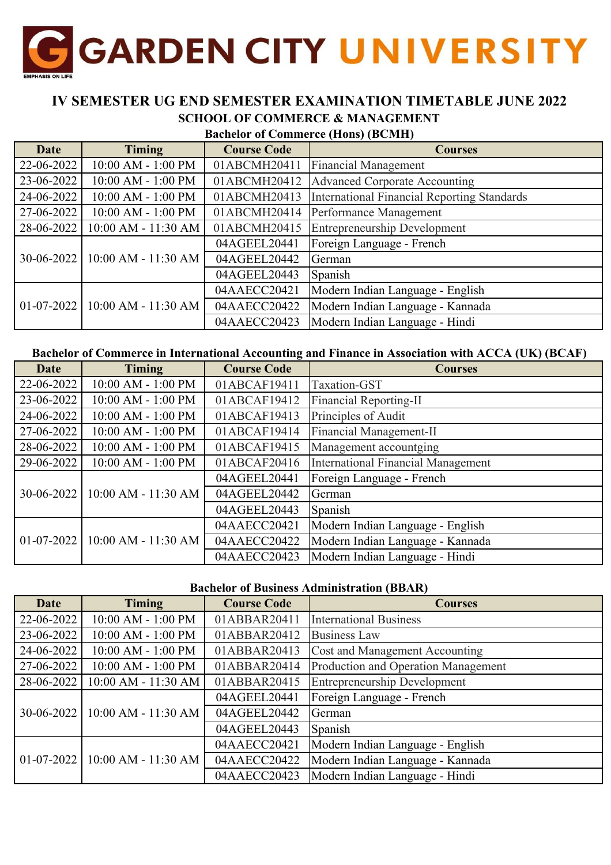

### **IV SEMESTER UG END SEMESTER EXAMINATION TIMETABLE JUNE 2022 SCHOOL OF COMMERCE & MANAGEMENT**

# **Bachelor of Commerce (Hons) (BCMH)**

| <b>Date</b>  | <b>Timing</b>           | <b>Course Code</b> | <b>Courses</b>                              |
|--------------|-------------------------|--------------------|---------------------------------------------|
| 22-06-2022   | 10:00 AM - 1:00 PM      | 01ABCMH20411       | <b>Financial Management</b>                 |
| 23-06-2022   | 10:00 AM - 1:00 PM      | 01ABCMH20412       | <b>Advanced Corporate Accounting</b>        |
| 24-06-2022   | 10:00 AM - 1:00 PM      | 01ABCMH20413       | International Financial Reporting Standards |
| 27-06-2022   | 10:00 AM - 1:00 PM      | 01ABCMH20414       | Performance Management                      |
| 28-06-2022   | 10:00 AM - 11:30 AM     | 01ABCMH20415       | <b>Entrepreneurship Development</b>         |
|              | $10:00$ AM - $11:30$ AM | 04AGEEL20441       | Foreign Language - French                   |
| 30-06-2022   |                         | 04AGEEL20442       | German                                      |
|              |                         | 04AGEEL20443       | Spanish                                     |
| $01-07-2022$ | $10:00$ AM - 11:30 AM   | 04AAECC20421       | Modern Indian Language - English            |
|              |                         | 04AAECC20422       | Modern Indian Language - Kannada            |
|              |                         | 04AAECC20423       | Modern Indian Language - Hindi              |

#### **Bachelor of Commerce in International Accounting and Finance in Association with ACCA (UK) (BCAF)**

| Date       | <b>Timing</b>           | <b>Course Code</b> | <b>Courses</b>                     |
|------------|-------------------------|--------------------|------------------------------------|
| 22-06-2022 | 10:00 AM - 1:00 PM      | 01ABCAF19411       | Taxation-GST                       |
| 23-06-2022 | 10:00 AM - 1:00 PM      | 01ABCAF19412       | <b>Financial Reporting-II</b>      |
| 24-06-2022 | 10:00 AM - 1:00 PM      | 01ABCAF19413       | Principles of Audit                |
| 27-06-2022 | 10:00 AM - 1:00 PM      | 01ABCAF19414       | Financial Management-II            |
| 28-06-2022 | 10:00 AM - 1:00 PM      | 01ABCAF19415       | Management accountging             |
| 29-06-2022 | 10:00 AM - 1:00 PM      | 01ABCAF20416       | International Financial Management |
|            |                         | 04AGEEL20441       | Foreign Language - French          |
| 30-06-2022 | $10:00$ AM - $11:30$ AM | 04AGEEL20442       | German                             |
|            |                         | 04AGEEL20443       | Spanish                            |
| 01-07-2022 | $10:00$ AM - $11:30$ AM | 04AAECC20421       | Modern Indian Language - English   |
|            |                         | 04AAECC20422       | Modern Indian Language - Kannada   |
|            |                         | 04AAECC20423       | Modern Indian Language - Hindi     |

#### **Bachelor of Business Administration (BBAR)**

| <b>Date</b>  | <b>Timing</b>                      | <b>Course Code</b> | <b>Courses</b>                      |
|--------------|------------------------------------|--------------------|-------------------------------------|
| 22-06-2022   | 10:00 AM - 1:00 PM                 | 01ABBAR20411       | <b>International Business</b>       |
| 23-06-2022   | 10:00 AM - 1:00 PM                 | 01ABBAR20412       | <b>Business Law</b>                 |
| 24-06-2022   | 10:00 AM - 1:00 PM                 | 01ABBAR20413       | Cost and Management Accounting      |
| 27-06-2022   | 10:00 AM - 1:00 PM                 | 01ABBAR20414       | Production and Operation Management |
| 28-06-2022   | 10:00 AM - 11:30 AM                | 01ABBAR20415       | <b>Entrepreneurship Development</b> |
|              | $30-06-2022$   10:00 AM - 11:30 AM | 04AGEEL20441       | Foreign Language - French           |
|              |                                    | 04AGEEL20442       | German                              |
|              |                                    | 04AGEEL20443       | Spanish                             |
| $01-07-2022$ | $10:00$ AM - 11:30 AM              | 04AAECC20421       | Modern Indian Language - English    |
|              |                                    | 04AAECC20422       | Modern Indian Language - Kannada    |
|              |                                    | 04AAECC20423       | Modern Indian Language - Hindi      |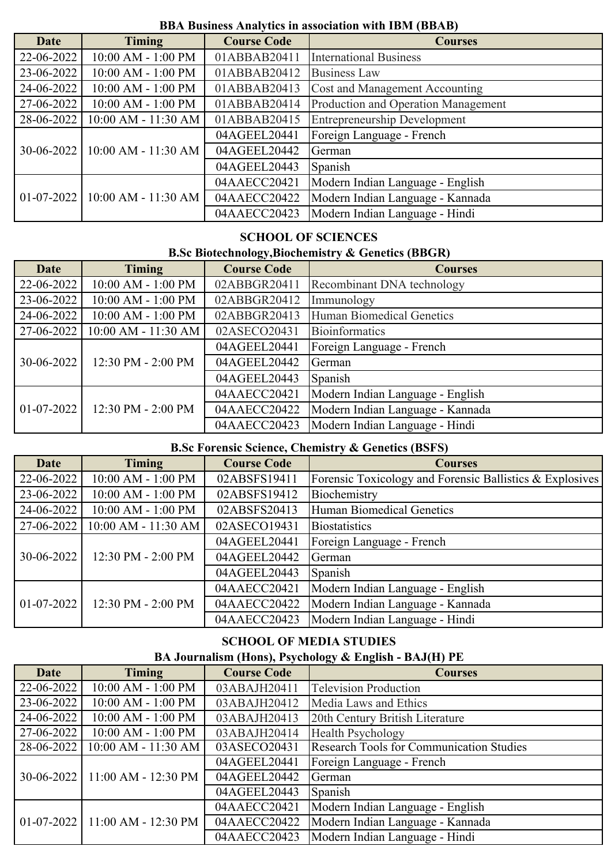### **BBA Business Analytics in association with IBM (BBAB)**

| <b>Date</b>  | <b>Timing</b>                      | <b>Course Code</b> | <b>Courses</b>                      |
|--------------|------------------------------------|--------------------|-------------------------------------|
| 22-06-2022   | 10:00 AM - 1:00 PM                 | 01ABBAB20411       | <b>International Business</b>       |
| 23-06-2022   | 10:00 AM - 1:00 PM                 | 01ABBAB20412       | <b>Business Law</b>                 |
| 24-06-2022   | 10:00 AM - 1:00 PM                 | 01ABBAB20413       | Cost and Management Accounting      |
| 27-06-2022   | 10:00 AM - 1:00 PM                 | 01ABBAB20414       | Production and Operation Management |
| 28-06-2022   | 10:00 AM - 11:30 AM                | 01ABBAB20415       | <b>Entrepreneurship Development</b> |
|              | $30-06-2022$   10:00 AM - 11:30 AM | 04AGEEL20441       | Foreign Language - French           |
|              |                                    | 04AGEEL20442       | German                              |
|              |                                    | 04AGEEL20443       | Spanish                             |
| $01-07-2022$ | 10:00 AM - 11:30 AM                | 04AAECC20421       | Modern Indian Language - English    |
|              |                                    | 04AAECC20422       | Modern Indian Language - Kannada    |
|              |                                    | 04AAECC20423       | Modern Indian Language - Hindi      |

### **SCHOOL OF SCIENCES**

### **B.Sc Biotechnology,Biochemistry & Genetics (BBGR)**

| <b>Date</b>      | <b>Timing</b>       | <b>Course Code</b> | <b>Courses</b>                   |
|------------------|---------------------|--------------------|----------------------------------|
| 22-06-2022       | 10:00 AM - 1:00 PM  | 02ABBGR20411       | Recombinant DNA technology       |
| 23-06-2022       | 10:00 AM - 1:00 PM  | 02ABBGR20412       | Immunology                       |
| 24-06-2022       | 10:00 AM - 1:00 PM  | 02ABBGR20413       | Human Biomedical Genetics        |
| 27-06-2022       | 10:00 AM - 11:30 AM | 02ASECO20431       | Bioinformatics                   |
|                  | 12:30 PM - 2:00 PM  | 04AGEEL20441       | Foreign Language - French        |
| $30 - 06 - 2022$ |                     | 04AGEEL20442       | German                           |
|                  |                     | 04AGEEL20443       | Spanish                          |
| $01-07-2022$     | 12:30 PM - 2:00 PM  | 04AAECC20421       | Modern Indian Language - English |
|                  |                     | 04AAECC20422       | Modern Indian Language - Kannada |
|                  |                     | 04AAECC20423       | Modern Indian Language - Hindi   |

## **B.Sc Forensic Science, Chemistry & Genetics (BSFS)**

| <b>Date</b>      | <b>Timing</b>       | <b>Course Code</b> | <b>Courses</b>                                           |
|------------------|---------------------|--------------------|----------------------------------------------------------|
| 22-06-2022       | 10:00 AM - 1:00 PM  | 02ABSFS19411       | Forensic Toxicology and Forensic Ballistics & Explosives |
| 23-06-2022       | 10:00 AM - 1:00 PM  | 02ABSFS19412       | Biochemistry                                             |
| 24-06-2022       | 10:00 AM - 1:00 PM  | 02ABSFS20413       | Human Biomedical Genetics                                |
| 27-06-2022       | 10:00 AM - 11:30 AM | 02ASECO19431       | <b>Biostatistics</b>                                     |
|                  | 12:30 PM - 2:00 PM  | 04AGEEL20441       | Foreign Language - French                                |
| 30-06-2022       |                     | 04AGEEL20442       | German                                                   |
|                  |                     | 04AGEEL20443       | Spanish                                                  |
| $01 - 07 - 2022$ | 12:30 PM - 2:00 PM  | 04AAECC20421       | Modern Indian Language - English                         |
|                  |                     | 04AAECC20422       | Modern Indian Language - Kannada                         |
|                  |                     | 04AAECC20423       | Modern Indian Language - Hindi                           |

# **SCHOOL OF MEDIA STUDIES**

# **BA Journalism (Hons), Psychology & English - BAJ(H) PE**

| <b>Date</b> | <b>Timing</b>                      | <b>Course Code</b> | <b>Courses</b>                                  |
|-------------|------------------------------------|--------------------|-------------------------------------------------|
| 22-06-2022  | 10:00 AM - 1:00 PM                 | 03ABAJH20411       | <b>Television Production</b>                    |
| 23-06-2022  | 10:00 AM - 1:00 PM                 | 03ABAJH20412       | Media Laws and Ethics                           |
| 24-06-2022  | 10:00 AM - 1:00 PM                 | 03ABAJH20413       | 20th Century British Literature                 |
| 27-06-2022  | 10:00 AM - 1:00 PM                 | 03ABAJH20414       | <b>Health Psychology</b>                        |
| 28-06-2022  | 10:00 AM - 11:30 AM                | 03ASECO20431       | <b>Research Tools for Communication Studies</b> |
|             | $30-06-2022$   11:00 AM - 12:30 PM | 04AGEEL20441       | Foreign Language - French                       |
|             |                                    | 04AGEEL20442       | German                                          |
|             |                                    | 04AGEEL20443       | Spanish                                         |
|             | $01-07-2022$   11:00 AM - 12:30 PM | 04AAECC20421       | Modern Indian Language - English                |
|             |                                    | 04AAECC20422       | Modern Indian Language - Kannada                |
|             |                                    | 04AAECC20423       | Modern Indian Language - Hindi                  |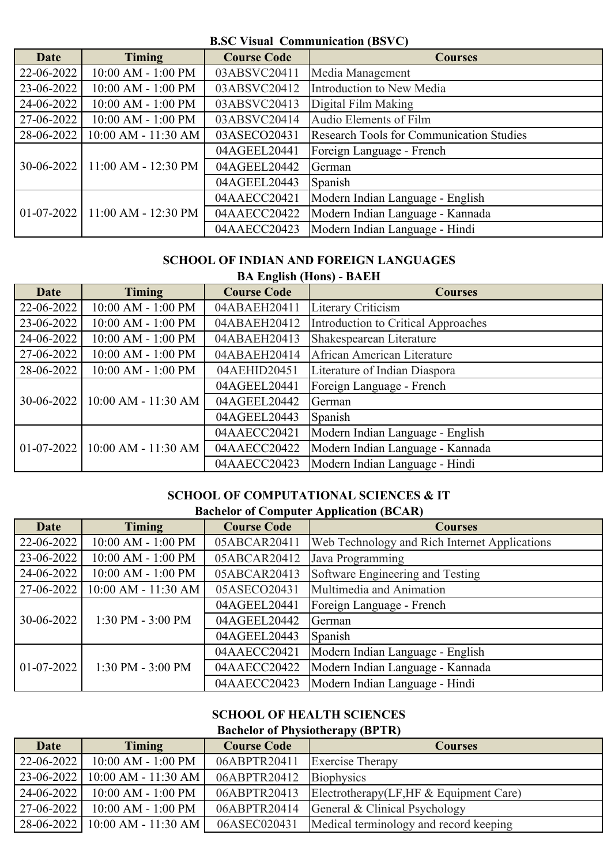#### **B.SC Visual Communication (BSVC)**

| <b>Date</b> | <b>Timing</b>                      | <b>Course Code</b> | <b>Courses</b>                                  |
|-------------|------------------------------------|--------------------|-------------------------------------------------|
| 22-06-2022  | 10:00 AM - 1:00 PM                 | 03ABSVC20411       | Media Management                                |
| 23-06-2022  | 10:00 AM - 1:00 PM                 | 03ABSVC20412       | Introduction to New Media                       |
| 24-06-2022  | 10:00 AM - 1:00 PM                 | 03ABSVC20413       | Digital Film Making                             |
| 27-06-2022  | 10:00 AM - 1:00 PM                 | 03ABSVC20414       | Audio Elements of Film                          |
| 28-06-2022  | 10:00 AM - 11:30 AM                | 03ASECO20431       | <b>Research Tools for Communication Studies</b> |
|             | $30-06-2022$   11:00 AM - 12:30 PM | 04AGEEL20441       | Foreign Language - French                       |
|             |                                    | 04AGEEL20442       | German                                          |
|             |                                    | 04AGEEL20443       | Spanish                                         |
|             | $01-07-2022$   11:00 AM - 12:30 PM | 04AAECC20421       | Modern Indian Language - English                |
|             |                                    | 04AAECC20422       | Modern Indian Language - Kannada                |
|             |                                    | 04AAECC20423       | Modern Indian Language - Hindi                  |

#### **SCHOOL OF INDIAN AND FOREIGN LANGUAGES**

| <b>BA English (Hons) - BAEH</b> |                     |                    |                                     |  |
|---------------------------------|---------------------|--------------------|-------------------------------------|--|
| <b>Date</b>                     | <b>Timing</b>       | <b>Course Code</b> | <b>Courses</b>                      |  |
| 22-06-2022                      | 10:00 AM - 1:00 PM  | 04ABAEH20411       | Literary Criticism                  |  |
| 23-06-2022                      | 10:00 AM - 1:00 PM  | 04ABAEH20412       | Introduction to Critical Approaches |  |
| 24-06-2022                      | 10:00 AM - 1:00 PM  | 04ABAEH20413       | Shakespearean Literature            |  |
| 27-06-2022                      | 10:00 AM - 1:00 PM  | 04ABAEH20414       | African American Literature         |  |
| 28-06-2022                      | 10:00 AM - 1:00 PM  | 04AEHID20451       | Literature of Indian Diaspora       |  |
|                                 | 10:00 AM - 11:30 AM | 04AGEEL20441       | Foreign Language - French           |  |
| 30-06-2022                      |                     | 04AGEEL20442       | German                              |  |
|                                 |                     | 04AGEEL20443       | Spanish                             |  |
| $01-07-2022$                    | 10:00 AM - 11:30 AM | 04AAECC20421       | Modern Indian Language - English    |  |
|                                 |                     | 04AAECC20422       | Modern Indian Language - Kannada    |  |
|                                 |                     | 04AAECC20423       | Modern Indian Language - Hindi      |  |

#### **SCHOOL OF COMPUTATIONAL SCIENCES & IT Bachelor of Computer Application (BCAR)**

| Date         | <b>Timing</b>       | <b>Course Code</b> | <b>Dachelor</b> of Compater <i>repplication</i> (DC/M)<br><b>Courses</b> |
|--------------|---------------------|--------------------|--------------------------------------------------------------------------|
| 22-06-2022   | 10:00 AM - 1:00 PM  | 05ABCAR20411       | Web Technology and Rich Internet Applications                            |
| 23-06-2022   | 10:00 AM - 1:00 PM  | 05ABCAR20412       | Java Programming                                                         |
| 24-06-2022   | 10:00 AM - 1:00 PM  | 05ABCAR20413       | Software Engineering and Testing                                         |
| 27-06-2022   | 10:00 AM - 11:30 AM | 05ASECO20431       | Multimedia and Animation                                                 |
|              |                     | 04AGEEL20441       | Foreign Language - French                                                |
| 30-06-2022   | 1:30 PM - 3:00 PM   | 04AGEEL20442       | German                                                                   |
|              |                     | 04AGEEL20443       | Spanish                                                                  |
| $01-07-2022$ | 1:30 PM - 3:00 PM   | 04AAECC20421       | Modern Indian Language - English                                         |
|              |                     | 04AAECC20422       | Modern Indian Language - Kannada                                         |
|              |                     | 04AAECC20423       | Modern Indian Language - Hindi                                           |

# **SCHOOL OF HEALTH SCIENCES**

**Bachelor of Physiotherapy (BPTR)**

| <b>Date</b>      | <b>Timing</b>                      | <b>Course Code</b> | <b>Courses</b>                                         |
|------------------|------------------------------------|--------------------|--------------------------------------------------------|
| $22 - 06 - 2022$ | $10:00$ AM - $1:00$ PM             | 06ABPTR20411       | <b>Exercise Therapy</b>                                |
|                  | $23-06-2022$   10:00 AM - 11:30 AM | 06ABPTR20412       | Biophysics                                             |
| 24-06-2022       | 10:00 AM - 1:00 PM                 |                    | 06ABPTR20413   Electrotherapy(LF, HF & Equipment Care) |
| 27-06-2022       | $10:00$ AM - $1:00$ PM             |                    | 06ABPTR20414 General & Clinical Psychology             |
|                  | 28-06-2022   10:00 AM - 11:30 AM   | 06ASEC020431       | Medical terminology and record keeping                 |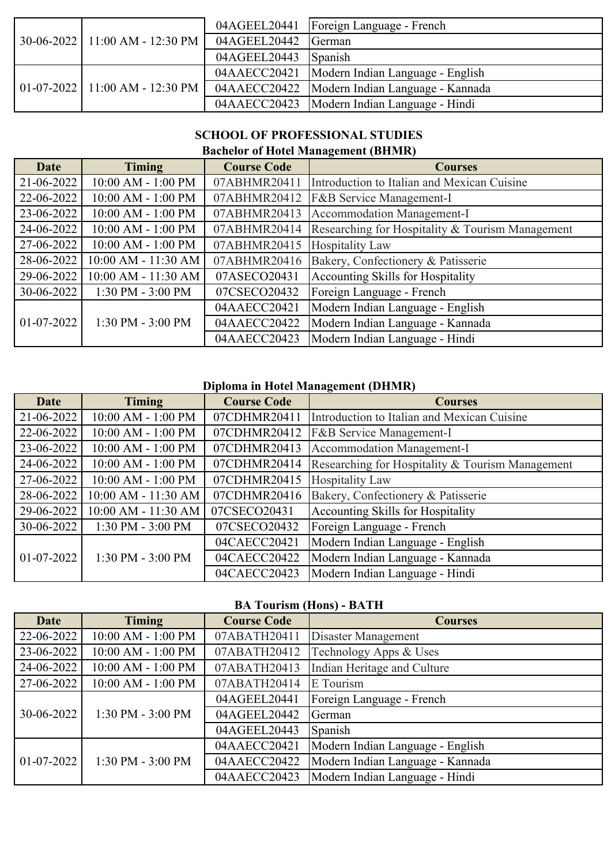|  | 30-06-2022 11:00 AM - 12:30 PM   |                      | 04AGEEL20441   Foreign Language - French        |
|--|----------------------------------|----------------------|-------------------------------------------------|
|  |                                  | 04AGEEL20442 German  |                                                 |
|  |                                  | 04AGEEL20443 Spanish |                                                 |
|  | $01-07-2022$ 11:00 AM - 12:30 PM |                      | 04AAECC20421   Modern Indian Language - English |
|  |                                  |                      | 04AAECC20422   Modern Indian Language - Kannada |
|  |                                  |                      | 04AAECC20423   Modern Indian Language - Hindi   |

# **SCHOOL OF PROFESSIONAL STUDIES**

### **Bachelor of Hotel Management (BHMR)**

| <b>Date</b> | <b>Timing</b>       | <b>Course Code</b> | <b>Courses</b>                                                |
|-------------|---------------------|--------------------|---------------------------------------------------------------|
| 21-06-2022  | 10:00 AM - 1:00 PM  | 07ABHMR20411       | Introduction to Italian and Mexican Cuisine                   |
| 22-06-2022  | 10:00 AM - 1:00 PM  |                    | 07ABHMR20412   F&B Service Management-I                       |
| 23-06-2022  | 10:00 AM - 1:00 PM  | 07ABHMR20413       | Accommodation Management-I                                    |
| 24-06-2022  | 10:00 AM - 1:00 PM  |                    | 07ABHMR20414 Researching for Hospitality & Tourism Management |
| 27-06-2022  | 10:00 AM - 1:00 PM  | 07ABHMR20415       | <b>Hospitality Law</b>                                        |
| 28-06-2022  | 10:00 AM - 11:30 AM |                    | 07ABHMR20416 Bakery, Confectionery & Patisserie               |
| 29-06-2022  | 10:00 AM - 11:30 AM | 07ASECO20431       | Accounting Skills for Hospitality                             |
| 30-06-2022  | 1:30 PM - 3:00 PM   | 07CSECO20432       | Foreign Language - French                                     |
|             |                     | 04AAECC20421       | Modern Indian Language - English                              |
| 01-07-2022  | 1:30 PM - 3:00 PM   | 04AAECC20422       | Modern Indian Language - Kannada                              |
|             |                     | 04AAECC20423       | Modern Indian Language - Hindi                                |

## **Diploma in Hotel Management (DHMR)**

| <b>Date</b>  | <b>Timing</b>       | <b>Course Code</b>                         | <b>Courses</b>                                   |
|--------------|---------------------|--------------------------------------------|--------------------------------------------------|
| 21-06-2022   | 10:00 AM - 1:00 PM  | 07CDHMR20411                               | Introduction to Italian and Mexican Cuisine      |
| 22-06-2022   | 10:00 AM - 1:00 PM  | 07CDHMR20412                               | <b>F&amp;B</b> Service Management-I              |
| 23-06-2022   | 10:00 AM - 1:00 PM  | Accommodation Management-I<br>07CDHMR20413 |                                                  |
| 24-06-2022   | 10:00 AM - 1:00 PM  | 07CDHMR20414                               | Researching for Hospitality & Tourism Management |
| 27-06-2022   | 10:00 AM - 1:00 PM  | 07CDHMR20415                               | <b>Hospitality Law</b>                           |
| 28-06-2022   | 10:00 AM - 11:30 AM | 07CDHMR20416                               | Bakery, Confectionery & Patisserie               |
| 29-06-2022   | 10:00 AM - 11:30 AM | 07CSECO20431                               | Accounting Skills for Hospitality                |
| 30-06-2022   | 1:30 PM - 3:00 PM   | 07CSECO20432                               | Foreign Language - French                        |
|              |                     | 04CAECC20421                               | Modern Indian Language - English                 |
| $01-07-2022$ | 1:30 PM - 3:00 PM   | 04CAECC20422                               | Modern Indian Language - Kannada                 |
|              |                     | 04CAECC20423                               | Modern Indian Language - Hindi                   |

## **BA Tourism (Hons) - BATH**

| Date       | <b>Timing</b>      | <b>Course Code</b>                          | <b>Courses</b>                   |
|------------|--------------------|---------------------------------------------|----------------------------------|
| 22-06-2022 | 10:00 AM - 1:00 PM | 07ABATH20411                                | Disaster Management              |
| 23-06-2022 | 10:00 AM - 1:00 PM | 07ABATH20412                                | Technology Apps & Uses           |
| 24-06-2022 | 10:00 AM - 1:00 PM | Indian Heritage and Culture<br>07ABATH20413 |                                  |
| 27-06-2022 | 10:00 AM - 1:00 PM | 07ABATH20414                                | E Tourism                        |
| 30-06-2022 | 1:30 PM - 3:00 PM  | 04AGEEL20441                                | Foreign Language - French        |
|            |                    | 04AGEEL20442                                | German                           |
|            |                    | 04AGEEL20443                                | Spanish                          |
| 01-07-2022 | 1:30 PM - 3:00 PM  | 04AAECC20421                                | Modern Indian Language - English |
|            |                    | 04AAECC20422                                | Modern Indian Language - Kannada |
|            |                    | 04AAECC20423                                | Modern Indian Language - Hindi   |